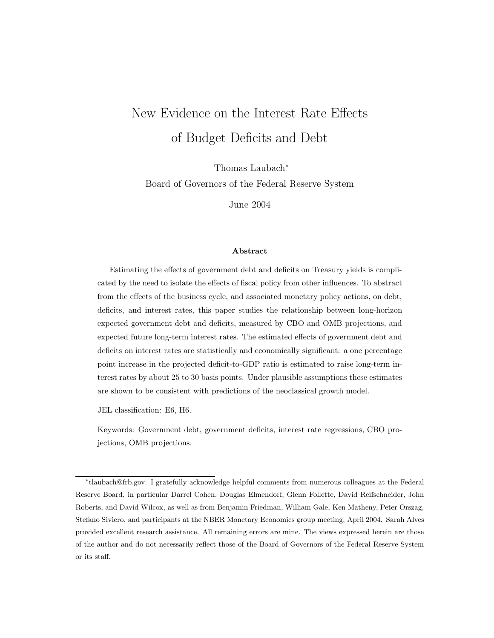# New Evidence on the Interest Rate Effects of Budget Deficits and Debt

Thomas Laubach<sup>∗</sup>

Board of Governors of the Federal Reserve System

June 2004

#### **Abstract**

Estimating the effects of government debt and deficits on Treasury yields is complicated by the need to isolate the effects of fiscal policy from other influences. To abstract from the effects of the business cycle, and associated monetary policy actions, on debt, deficits, and interest rates, this paper studies the relationship between long-horizon expected government debt and deficits, measured by CBO and OMB projections, and expected future long-term interest rates. The estimated effects of government debt and deficits on interest rates are statistically and economically significant: a one percentage point increase in the projected deficit-to-GDP ratio is estimated to raise long-term interest rates by about 25 to 30 basis points. Under plausible assumptions these estimates are shown to be consistent with predictions of the neoclassical growth model.

JEL classification: E6, H6.

Keywords: Government debt, government deficits, interest rate regressions, CBO projections, OMB projections.

<sup>∗</sup>tlaubach@frb.gov. I gratefully acknowledge helpful comments from numerous colleagues at the Federal Reserve Board, in particular Darrel Cohen, Douglas Elmendorf, Glenn Follette, David Reifschneider, John Roberts, and David Wilcox, as well as from Benjamin Friedman, William Gale, Ken Matheny, Peter Orszag, Stefano Siviero, and participants at the NBER Monetary Economics group meeting, April 2004. Sarah Alves provided excellent research assistance. All remaining errors are mine. The views expressed herein are those of the author and do not necessarily reflect those of the Board of Governors of the Federal Reserve System or its staff.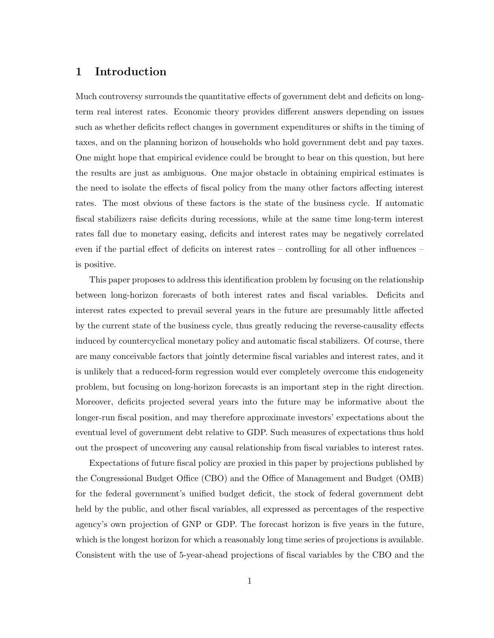## **1 Introduction**

Much controversy surrounds the quantitative effects of government debt and deficits on longterm real interest rates. Economic theory provides different answers depending on issues such as whether deficits reflect changes in government expenditures or shifts in the timing of taxes, and on the planning horizon of households who hold government debt and pay taxes. One might hope that empirical evidence could be brought to bear on this question, but here the results are just as ambiguous. One major obstacle in obtaining empirical estimates is the need to isolate the effects of fiscal policy from the many other factors affecting interest rates. The most obvious of these factors is the state of the business cycle. If automatic fiscal stabilizers raise deficits during recessions, while at the same time long-term interest rates fall due to monetary easing, deficits and interest rates may be negatively correlated even if the partial effect of deficits on interest rates – controlling for all other influences – is positive.

This paper proposes to address this identification problem by focusing on the relationship between long-horizon forecasts of both interest rates and fiscal variables. Deficits and interest rates expected to prevail several years in the future are presumably little affected by the current state of the business cycle, thus greatly reducing the reverse-causality effects induced by countercyclical monetary policy and automatic fiscal stabilizers. Of course, there are many conceivable factors that jointly determine fiscal variables and interest rates, and it is unlikely that a reduced-form regression would ever completely overcome this endogeneity problem, but focusing on long-horizon forecasts is an important step in the right direction. Moreover, deficits projected several years into the future may be informative about the longer-run fiscal position, and may therefore approximate investors' expectations about the eventual level of government debt relative to GDP. Such measures of expectations thus hold out the prospect of uncovering any causal relationship from fiscal variables to interest rates.

Expectations of future fiscal policy are proxied in this paper by projections published by the Congressional Budget Office (CBO) and the Office of Management and Budget (OMB) for the federal government's unified budget deficit, the stock of federal government debt held by the public, and other fiscal variables, all expressed as percentages of the respective agency's own projection of GNP or GDP. The forecast horizon is five years in the future, which is the longest horizon for which a reasonably long time series of projections is available. Consistent with the use of 5-year-ahead projections of fiscal variables by the CBO and the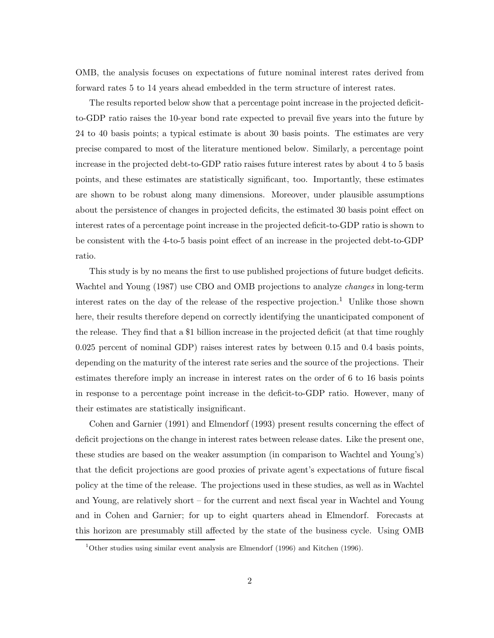OMB, the analysis focuses on expectations of future nominal interest rates derived from forward rates 5 to 14 years ahead embedded in the term structure of interest rates.

The results reported below show that a percentage point increase in the projected deficitto-GDP ratio raises the 10-year bond rate expected to prevail five years into the future by 24 to 40 basis points; a typical estimate is about 30 basis points. The estimates are very precise compared to most of the literature mentioned below. Similarly, a percentage point increase in the projected debt-to-GDP ratio raises future interest rates by about 4 to 5 basis points, and these estimates are statistically significant, too. Importantly, these estimates are shown to be robust along many dimensions. Moreover, under plausible assumptions about the persistence of changes in projected deficits, the estimated 30 basis point effect on interest rates of a percentage point increase in the projected deficit-to-GDP ratio is shown to be consistent with the 4-to-5 basis point effect of an increase in the projected debt-to-GDP ratio.

This study is by no means the first to use published projections of future budget deficits. Wachtel and Young (1987) use CBO and OMB projections to analyze *changes* in long-term interest rates on the day of the release of the respective projection.<sup>1</sup> Unlike those shown here, their results therefore depend on correctly identifying the unanticipated component of the release. They find that a \$1 billion increase in the projected deficit (at that time roughly 0.025 percent of nominal GDP) raises interest rates by between 0.15 and 0.4 basis points, depending on the maturity of the interest rate series and the source of the projections. Their estimates therefore imply an increase in interest rates on the order of 6 to 16 basis points in response to a percentage point increase in the deficit-to-GDP ratio. However, many of their estimates are statistically insignificant.

Cohen and Garnier (1991) and Elmendorf (1993) present results concerning the effect of deficit projections on the change in interest rates between release dates. Like the present one, these studies are based on the weaker assumption (in comparison to Wachtel and Young's) that the deficit projections are good proxies of private agent's expectations of future fiscal policy at the time of the release. The projections used in these studies, as well as in Wachtel and Young, are relatively short – for the current and next fiscal year in Wachtel and Young and in Cohen and Garnier; for up to eight quarters ahead in Elmendorf. Forecasts at this horizon are presumably still affected by the state of the business cycle. Using OMB

<sup>1</sup>Other studies using similar event analysis are Elmendorf (1996) and Kitchen (1996).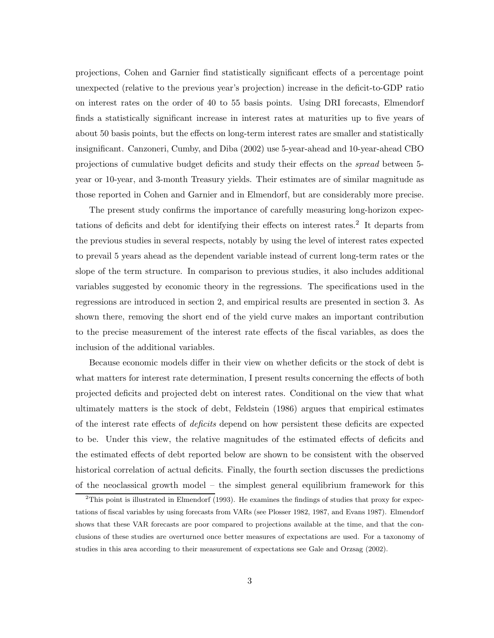projections, Cohen and Garnier find statistically significant effects of a percentage point unexpected (relative to the previous year's projection) increase in the deficit-to-GDP ratio on interest rates on the order of 40 to 55 basis points. Using DRI forecasts, Elmendorf finds a statistically significant increase in interest rates at maturities up to five years of about 50 basis points, but the effects on long-term interest rates are smaller and statistically insignificant. Canzoneri, Cumby, and Diba (2002) use 5-year-ahead and 10-year-ahead CBO projections of cumulative budget deficits and study their effects on the *spread* between 5 year or 10-year, and 3-month Treasury yields. Their estimates are of similar magnitude as those reported in Cohen and Garnier and in Elmendorf, but are considerably more precise.

The present study confirms the importance of carefully measuring long-horizon expectations of deficits and debt for identifying their effects on interest rates.<sup>2</sup> It departs from the previous studies in several respects, notably by using the level of interest rates expected to prevail 5 years ahead as the dependent variable instead of current long-term rates or the slope of the term structure. In comparison to previous studies, it also includes additional variables suggested by economic theory in the regressions. The specifications used in the regressions are introduced in section 2, and empirical results are presented in section 3. As shown there, removing the short end of the yield curve makes an important contribution to the precise measurement of the interest rate effects of the fiscal variables, as does the inclusion of the additional variables.

Because economic models differ in their view on whether deficits or the stock of debt is what matters for interest rate determination, I present results concerning the effects of both projected deficits and projected debt on interest rates. Conditional on the view that what ultimately matters is the stock of debt, Feldstein (1986) argues that empirical estimates of the interest rate effects of *deficits* depend on how persistent these deficits are expected to be. Under this view, the relative magnitudes of the estimated effects of deficits and the estimated effects of debt reported below are shown to be consistent with the observed historical correlation of actual deficits. Finally, the fourth section discusses the predictions of the neoclassical growth model – the simplest general equilibrium framework for this

 $2$ This point is illustrated in Elmendorf (1993). He examines the findings of studies that proxy for expectations of fiscal variables by using forecasts from VARs (see Plosser 1982, 1987, and Evans 1987). Elmendorf shows that these VAR forecasts are poor compared to projections available at the time, and that the conclusions of these studies are overturned once better measures of expectations are used. For a taxonomy of studies in this area according to their measurement of expectations see Gale and Orzsag (2002).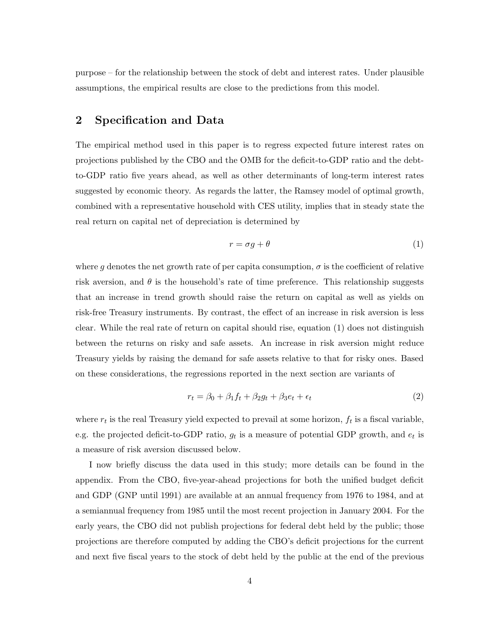purpose – for the relationship between the stock of debt and interest rates. Under plausible assumptions, the empirical results are close to the predictions from this model.

### **2 Specification and Data**

The empirical method used in this paper is to regress expected future interest rates on projections published by the CBO and the OMB for the deficit-to-GDP ratio and the debtto-GDP ratio five years ahead, as well as other determinants of long-term interest rates suggested by economic theory. As regards the latter, the Ramsey model of optimal growth, combined with a representative household with CES utility, implies that in steady state the real return on capital net of depreciation is determined by

$$
r = \sigma g + \theta \tag{1}
$$

where g denotes the net growth rate of per capita consumption,  $\sigma$  is the coefficient of relative risk aversion, and  $\theta$  is the household's rate of time preference. This relationship suggests that an increase in trend growth should raise the return on capital as well as yields on risk-free Treasury instruments. By contrast, the effect of an increase in risk aversion is less clear. While the real rate of return on capital should rise, equation (1) does not distinguish between the returns on risky and safe assets. An increase in risk aversion might reduce Treasury yields by raising the demand for safe assets relative to that for risky ones. Based on these considerations, the regressions reported in the next section are variants of

$$
r_t = \beta_0 + \beta_1 f_t + \beta_2 g_t + \beta_3 e_t + \epsilon_t \tag{2}
$$

where  $r_t$  is the real Treasury yield expected to prevail at some horizon,  $f_t$  is a fiscal variable, e.g. the projected deficit-to-GDP ratio,  $q_t$  is a measure of potential GDP growth, and  $e_t$  is a measure of risk aversion discussed below.

I now briefly discuss the data used in this study; more details can be found in the appendix. From the CBO, five-year-ahead projections for both the unified budget deficit and GDP (GNP until 1991) are available at an annual frequency from 1976 to 1984, and at a semiannual frequency from 1985 until the most recent projection in January 2004. For the early years, the CBO did not publish projections for federal debt held by the public; those projections are therefore computed by adding the CBO's deficit projections for the current and next five fiscal years to the stock of debt held by the public at the end of the previous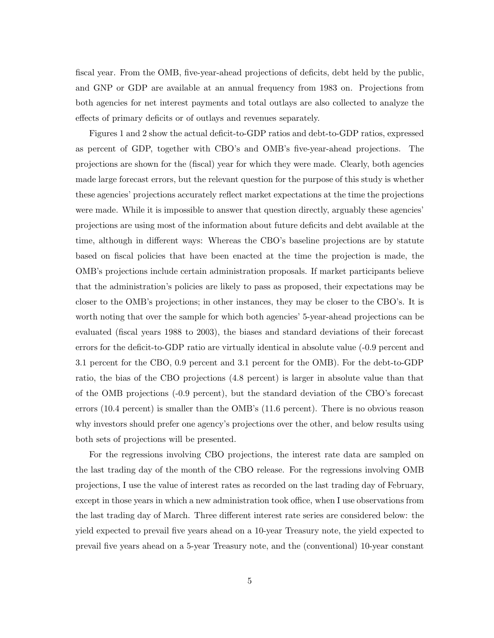fiscal year. From the OMB, five-year-ahead projections of deficits, debt held by the public, and GNP or GDP are available at an annual frequency from 1983 on. Projections from both agencies for net interest payments and total outlays are also collected to analyze the effects of primary deficits or of outlays and revenues separately.

Figures 1 and 2 show the actual deficit-to-GDP ratios and debt-to-GDP ratios, expressed as percent of GDP, together with CBO's and OMB's five-year-ahead projections. The projections are shown for the (fiscal) year for which they were made. Clearly, both agencies made large forecast errors, but the relevant question for the purpose of this study is whether these agencies' projections accurately reflect market expectations at the time the projections were made. While it is impossible to answer that question directly, arguably these agencies' projections are using most of the information about future deficits and debt available at the time, although in different ways: Whereas the CBO's baseline projections are by statute based on fiscal policies that have been enacted at the time the projection is made, the OMB's projections include certain administration proposals. If market participants believe that the administration's policies are likely to pass as proposed, their expectations may be closer to the OMB's projections; in other instances, they may be closer to the CBO's. It is worth noting that over the sample for which both agencies' 5-year-ahead projections can be evaluated (fiscal years 1988 to 2003), the biases and standard deviations of their forecast errors for the deficit-to-GDP ratio are virtually identical in absolute value (-0.9 percent and 3.1 percent for the CBO, 0.9 percent and 3.1 percent for the OMB). For the debt-to-GDP ratio, the bias of the CBO projections (4.8 percent) is larger in absolute value than that of the OMB projections (-0.9 percent), but the standard deviation of the CBO's forecast errors (10.4 percent) is smaller than the OMB's (11.6 percent). There is no obvious reason why investors should prefer one agency's projections over the other, and below results using both sets of projections will be presented.

For the regressions involving CBO projections, the interest rate data are sampled on the last trading day of the month of the CBO release. For the regressions involving OMB projections, I use the value of interest rates as recorded on the last trading day of February, except in those years in which a new administration took office, when I use observations from the last trading day of March. Three different interest rate series are considered below: the yield expected to prevail five years ahead on a 10-year Treasury note, the yield expected to prevail five years ahead on a 5-year Treasury note, and the (conventional) 10-year constant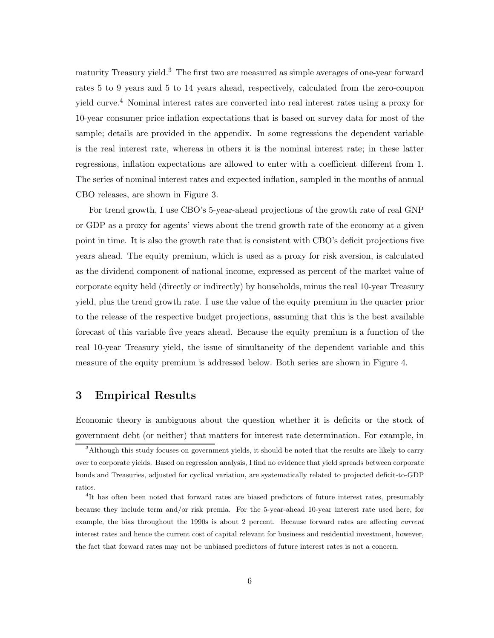maturity Treasury yield.<sup>3</sup> The first two are measured as simple averages of one-year forward rates 5 to 9 years and 5 to 14 years ahead, respectively, calculated from the zero-coupon yield curve.<sup>4</sup> Nominal interest rates are converted into real interest rates using a proxy for 10-year consumer price inflation expectations that is based on survey data for most of the sample; details are provided in the appendix. In some regressions the dependent variable is the real interest rate, whereas in others it is the nominal interest rate; in these latter regressions, inflation expectations are allowed to enter with a coefficient different from 1. The series of nominal interest rates and expected inflation, sampled in the months of annual CBO releases, are shown in Figure 3.

For trend growth, I use CBO's 5-year-ahead projections of the growth rate of real GNP or GDP as a proxy for agents' views about the trend growth rate of the economy at a given point in time. It is also the growth rate that is consistent with CBO's deficit projections five years ahead. The equity premium, which is used as a proxy for risk aversion, is calculated as the dividend component of national income, expressed as percent of the market value of corporate equity held (directly or indirectly) by households, minus the real 10-year Treasury yield, plus the trend growth rate. I use the value of the equity premium in the quarter prior to the release of the respective budget projections, assuming that this is the best available forecast of this variable five years ahead. Because the equity premium is a function of the real 10-year Treasury yield, the issue of simultaneity of the dependent variable and this measure of the equity premium is addressed below. Both series are shown in Figure 4.

## **3 Empirical Results**

Economic theory is ambiguous about the question whether it is deficits or the stock of government debt (or neither) that matters for interest rate determination. For example, in

<sup>3</sup>Although this study focuses on government yields, it should be noted that the results are likely to carry over to corporate yields. Based on regression analysis, I find no evidence that yield spreads between corporate bonds and Treasuries, adjusted for cyclical variation, are systematically related to projected deficit-to-GDP ratios.

<sup>&</sup>lt;sup>4</sup>It has often been noted that forward rates are biased predictors of future interest rates, presumably because they include term and/or risk premia. For the 5-year-ahead 10-year interest rate used here, for example, the bias throughout the 1990s is about 2 percent. Because forward rates are affecting *current* interest rates and hence the current cost of capital relevant for business and residential investment, however, the fact that forward rates may not be unbiased predictors of future interest rates is not a concern.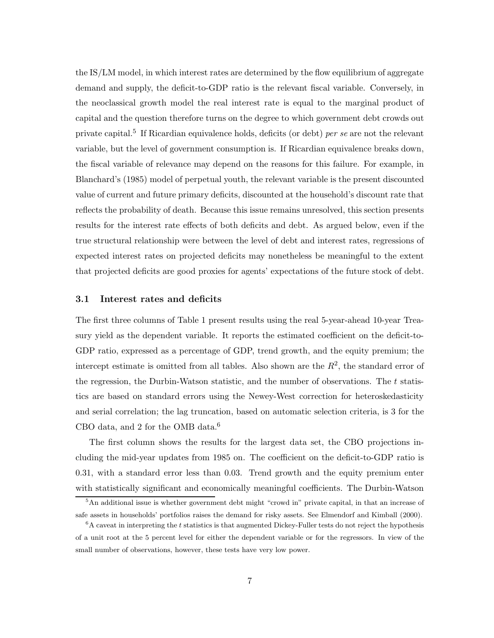the IS/LM model, in which interest rates are determined by the flow equilibrium of aggregate demand and supply, the deficit-to-GDP ratio is the relevant fiscal variable. Conversely, in the neoclassical growth model the real interest rate is equal to the marginal product of capital and the question therefore turns on the degree to which government debt crowds out private capital.<sup>5</sup> If Ricardian equivalence holds, deficits (or debt) *per se* are not the relevant variable, but the level of government consumption is. If Ricardian equivalence breaks down, the fiscal variable of relevance may depend on the reasons for this failure. For example, in Blanchard's (1985) model of perpetual youth, the relevant variable is the present discounted value of current and future primary deficits, discounted at the household's discount rate that reflects the probability of death. Because this issue remains unresolved, this section presents results for the interest rate effects of both deficits and debt. As argued below, even if the true structural relationship were between the level of debt and interest rates, regressions of expected interest rates on projected deficits may nonetheless be meaningful to the extent that projected deficits are good proxies for agents' expectations of the future stock of debt.

#### **3.1 Interest rates and deficits**

The first three columns of Table 1 present results using the real 5-year-ahead 10-year Treasury yield as the dependent variable. It reports the estimated coefficient on the deficit-to-GDP ratio, expressed as a percentage of GDP, trend growth, and the equity premium; the intercept estimate is omitted from all tables. Also shown are the  $R<sup>2</sup>$ , the standard error of the regression, the Durbin-Watson statistic, and the number of observations. The  $t$  statistics are based on standard errors using the Newey-West correction for heteroskedasticity and serial correlation; the lag truncation, based on automatic selection criteria, is 3 for the CBO data, and 2 for the OMB data.<sup>6</sup>

The first column shows the results for the largest data set, the CBO projections including the mid-year updates from 1985 on. The coefficient on the deficit-to-GDP ratio is 0.31, with a standard error less than 0.03. Trend growth and the equity premium enter with statistically significant and economically meaningful coefficients. The Durbin-Watson

<sup>5</sup>An additional issue is whether government debt might "crowd in" private capital, in that an increase of safe assets in households' portfolios raises the demand for risky assets. See Elmendorf and Kimball (2000).

 ${}^6A$  caveat in interpreting the t statistics is that augmented Dickey-Fuller tests do not reject the hypothesis of a unit root at the 5 percent level for either the dependent variable or for the regressors. In view of the small number of observations, however, these tests have very low power.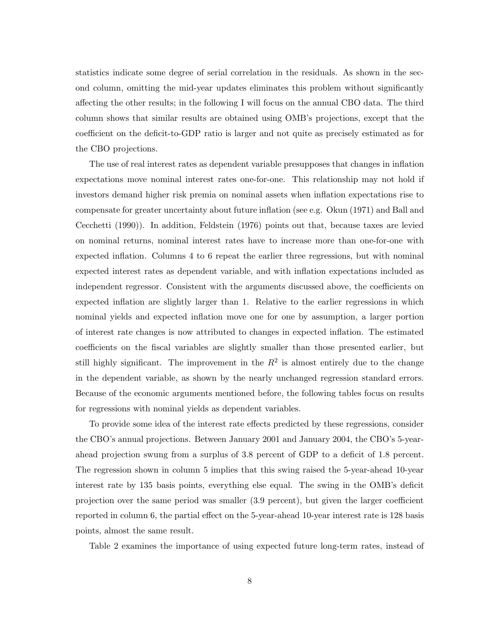statistics indicate some degree of serial correlation in the residuals. As shown in the second column, omitting the mid-year updates eliminates this problem without significantly affecting the other results; in the following I will focus on the annual CBO data. The third column shows that similar results are obtained using OMB's projections, except that the coefficient on the deficit-to-GDP ratio is larger and not quite as precisely estimated as for the CBO projections.

The use of real interest rates as dependent variable presupposes that changes in inflation expectations move nominal interest rates one-for-one. This relationship may not hold if investors demand higher risk premia on nominal assets when inflation expectations rise to compensate for greater uncertainty about future inflation (see e.g. Okun (1971) and Ball and Cecchetti (1990)). In addition, Feldstein (1976) points out that, because taxes are levied on nominal returns, nominal interest rates have to increase more than one-for-one with expected inflation. Columns 4 to 6 repeat the earlier three regressions, but with nominal expected interest rates as dependent variable, and with inflation expectations included as independent regressor. Consistent with the arguments discussed above, the coefficients on expected inflation are slightly larger than 1. Relative to the earlier regressions in which nominal yields and expected inflation move one for one by assumption, a larger portion of interest rate changes is now attributed to changes in expected inflation. The estimated coefficients on the fiscal variables are slightly smaller than those presented earlier, but still highly significant. The improvement in the  $R^2$  is almost entirely due to the change in the dependent variable, as shown by the nearly unchanged regression standard errors. Because of the economic arguments mentioned before, the following tables focus on results for regressions with nominal yields as dependent variables.

To provide some idea of the interest rate effects predicted by these regressions, consider the CBO's annual projections. Between January 2001 and January 2004, the CBO's 5-yearahead projection swung from a surplus of 3.8 percent of GDP to a deficit of 1.8 percent. The regression shown in column 5 implies that this swing raised the 5-year-ahead 10-year interest rate by 135 basis points, everything else equal. The swing in the OMB's deficit projection over the same period was smaller (3.9 percent), but given the larger coefficient reported in column 6, the partial effect on the 5-year-ahead 10-year interest rate is 128 basis points, almost the same result.

Table 2 examines the importance of using expected future long-term rates, instead of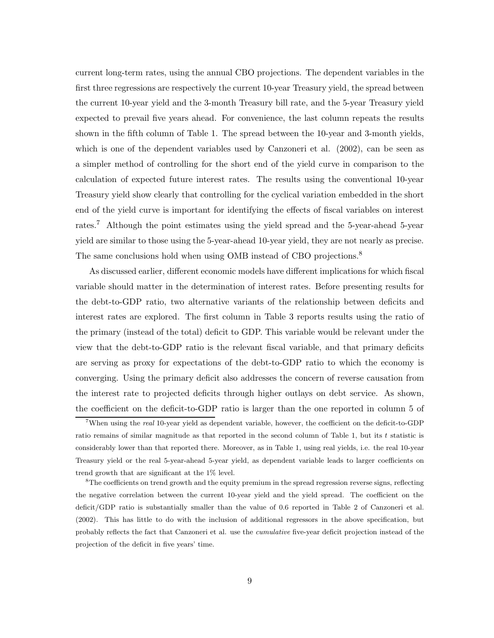current long-term rates, using the annual CBO projections. The dependent variables in the first three regressions are respectively the current 10-year Treasury yield, the spread between the current 10-year yield and the 3-month Treasury bill rate, and the 5-year Treasury yield expected to prevail five years ahead. For convenience, the last column repeats the results shown in the fifth column of Table 1. The spread between the 10-year and 3-month yields, which is one of the dependent variables used by Canzoneri et al. (2002), can be seen as a simpler method of controlling for the short end of the yield curve in comparison to the calculation of expected future interest rates. The results using the conventional 10-year Treasury yield show clearly that controlling for the cyclical variation embedded in the short end of the yield curve is important for identifying the effects of fiscal variables on interest rates.<sup>7</sup> Although the point estimates using the yield spread and the 5-year-ahead 5-year yield are similar to those using the 5-year-ahead 10-year yield, they are not nearly as precise. The same conclusions hold when using OMB instead of CBO projections.<sup>8</sup>

As discussed earlier, different economic models have different implications for which fiscal variable should matter in the determination of interest rates. Before presenting results for the debt-to-GDP ratio, two alternative variants of the relationship between deficits and interest rates are explored. The first column in Table 3 reports results using the ratio of the primary (instead of the total) deficit to GDP. This variable would be relevant under the view that the debt-to-GDP ratio is the relevant fiscal variable, and that primary deficits are serving as proxy for expectations of the debt-to-GDP ratio to which the economy is converging. Using the primary deficit also addresses the concern of reverse causation from the interest rate to projected deficits through higher outlays on debt service. As shown, the coefficient on the deficit-to-GDP ratio is larger than the one reported in column 5 of

<sup>&</sup>lt;sup>7</sup>When using the *real* 10-year yield as dependent variable, however, the coefficient on the deficit-to-GDP ratio remains of similar magnitude as that reported in the second column of Table 1, but its t statistic is considerably lower than that reported there. Moreover, as in Table 1, using real yields, i.e. the real 10-year Treasury yield or the real 5-year-ahead 5-year yield, as dependent variable leads to larger coefficients on trend growth that are significant at the 1% level.

<sup>&</sup>lt;sup>8</sup>The coefficients on trend growth and the equity premium in the spread regression reverse signs, reflecting the negative correlation between the current 10-year yield and the yield spread. The coefficient on the deficit/GDP ratio is substantially smaller than the value of 0.6 reported in Table 2 of Canzoneri et al. (2002). This has little to do with the inclusion of additional regressors in the above specification, but probably reflects the fact that Canzoneri et al. use the cumulative five-year deficit projection instead of the projection of the deficit in five years' time.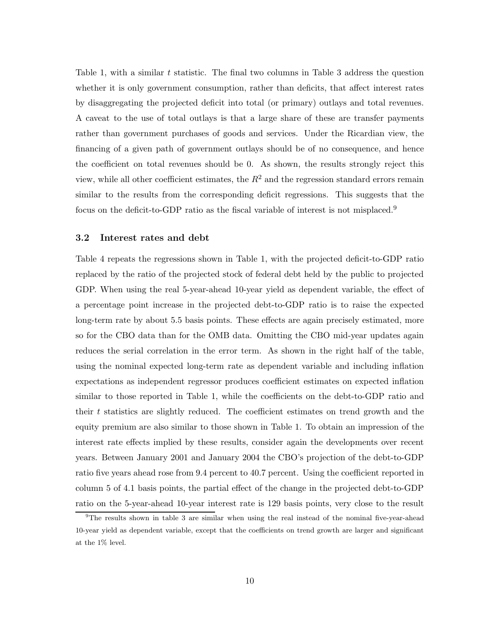Table 1, with a similar t statistic. The final two columns in Table 3 address the question whether it is only government consumption, rather than deficits, that affect interest rates by disaggregating the projected deficit into total (or primary) outlays and total revenues. A caveat to the use of total outlays is that a large share of these are transfer payments rather than government purchases of goods and services. Under the Ricardian view, the financing of a given path of government outlays should be of no consequence, and hence the coefficient on total revenues should be 0. As shown, the results strongly reject this view, while all other coefficient estimates, the  $R^2$  and the regression standard errors remain similar to the results from the corresponding deficit regressions. This suggests that the focus on the deficit-to-GDP ratio as the fiscal variable of interest is not misplaced.<sup>9</sup>

#### **3.2 Interest rates and debt**

Table 4 repeats the regressions shown in Table 1, with the projected deficit-to-GDP ratio replaced by the ratio of the projected stock of federal debt held by the public to projected GDP. When using the real 5-year-ahead 10-year yield as dependent variable, the effect of a percentage point increase in the projected debt-to-GDP ratio is to raise the expected long-term rate by about 5.5 basis points. These effects are again precisely estimated, more so for the CBO data than for the OMB data. Omitting the CBO mid-year updates again reduces the serial correlation in the error term. As shown in the right half of the table, using the nominal expected long-term rate as dependent variable and including inflation expectations as independent regressor produces coefficient estimates on expected inflation similar to those reported in Table 1, while the coefficients on the debt-to-GDP ratio and their t statistics are slightly reduced. The coefficient estimates on trend growth and the equity premium are also similar to those shown in Table 1. To obtain an impression of the interest rate effects implied by these results, consider again the developments over recent years. Between January 2001 and January 2004 the CBO's projection of the debt-to-GDP ratio five years ahead rose from 9.4 percent to 40.7 percent. Using the coefficient reported in column 5 of 4.1 basis points, the partial effect of the change in the projected debt-to-GDP ratio on the 5-year-ahead 10-year interest rate is 129 basis points, very close to the result

<sup>&</sup>lt;sup>9</sup>The results shown in table 3 are similar when using the real instead of the nominal five-year-ahead 10-year yield as dependent variable, except that the coefficients on trend growth are larger and significant at the 1% level.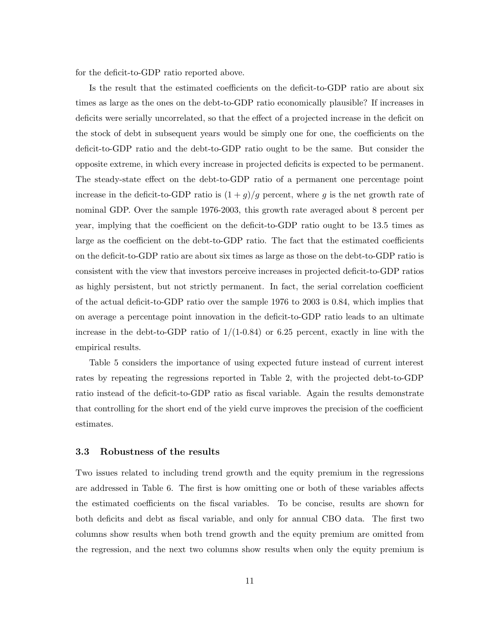for the deficit-to-GDP ratio reported above.

Is the result that the estimated coefficients on the deficit-to-GDP ratio are about six times as large as the ones on the debt-to-GDP ratio economically plausible? If increases in deficits were serially uncorrelated, so that the effect of a projected increase in the deficit on the stock of debt in subsequent years would be simply one for one, the coefficients on the deficit-to-GDP ratio and the debt-to-GDP ratio ought to be the same. But consider the opposite extreme, in which every increase in projected deficits is expected to be permanent. The steady-state effect on the debt-to-GDP ratio of a permanent one percentage point increase in the deficit-to-GDP ratio is  $(1+g)/g$  percent, where g is the net growth rate of nominal GDP. Over the sample 1976-2003, this growth rate averaged about 8 percent per year, implying that the coefficient on the deficit-to-GDP ratio ought to be 13.5 times as large as the coefficient on the debt-to-GDP ratio. The fact that the estimated coefficients on the deficit-to-GDP ratio are about six times as large as those on the debt-to-GDP ratio is consistent with the view that investors perceive increases in projected deficit-to-GDP ratios as highly persistent, but not strictly permanent. In fact, the serial correlation coefficient of the actual deficit-to-GDP ratio over the sample 1976 to 2003 is 0.84, which implies that on average a percentage point innovation in the deficit-to-GDP ratio leads to an ultimate increase in the debt-to-GDP ratio of  $1/(1-0.84)$  or 6.25 percent, exactly in line with the empirical results.

Table 5 considers the importance of using expected future instead of current interest rates by repeating the regressions reported in Table 2, with the projected debt-to-GDP ratio instead of the deficit-to-GDP ratio as fiscal variable. Again the results demonstrate that controlling for the short end of the yield curve improves the precision of the coefficient estimates.

#### **3.3 Robustness of the results**

Two issues related to including trend growth and the equity premium in the regressions are addressed in Table 6. The first is how omitting one or both of these variables affects the estimated coefficients on the fiscal variables. To be concise, results are shown for both deficits and debt as fiscal variable, and only for annual CBO data. The first two columns show results when both trend growth and the equity premium are omitted from the regression, and the next two columns show results when only the equity premium is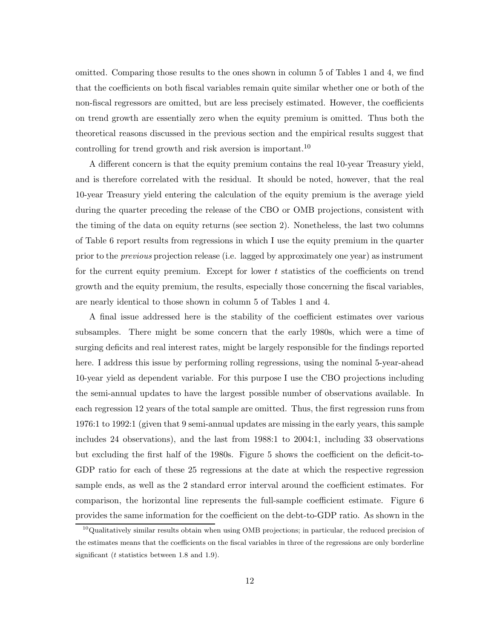omitted. Comparing those results to the ones shown in column 5 of Tables 1 and 4, we find that the coefficients on both fiscal variables remain quite similar whether one or both of the non-fiscal regressors are omitted, but are less precisely estimated. However, the coefficients on trend growth are essentially zero when the equity premium is omitted. Thus both the theoretical reasons discussed in the previous section and the empirical results suggest that controlling for trend growth and risk aversion is important.<sup>10</sup>

A different concern is that the equity premium contains the real 10-year Treasury yield, and is therefore correlated with the residual. It should be noted, however, that the real 10-year Treasury yield entering the calculation of the equity premium is the average yield during the quarter preceding the release of the CBO or OMB projections, consistent with the timing of the data on equity returns (see section 2). Nonetheless, the last two columns of Table 6 report results from regressions in which I use the equity premium in the quarter prior to the *previous* projection release (i.e. lagged by approximately one year) as instrument for the current equity premium. Except for lower  $t$  statistics of the coefficients on trend growth and the equity premium, the results, especially those concerning the fiscal variables, are nearly identical to those shown in column 5 of Tables 1 and 4.

A final issue addressed here is the stability of the coefficient estimates over various subsamples. There might be some concern that the early 1980s, which were a time of surging deficits and real interest rates, might be largely responsible for the findings reported here. I address this issue by performing rolling regressions, using the nominal 5-year-ahead 10-year yield as dependent variable. For this purpose I use the CBO projections including the semi-annual updates to have the largest possible number of observations available. In each regression 12 years of the total sample are omitted. Thus, the first regression runs from 1976:1 to 1992:1 (given that 9 semi-annual updates are missing in the early years, this sample includes 24 observations), and the last from 1988:1 to 2004:1, including 33 observations but excluding the first half of the 1980s. Figure 5 shows the coefficient on the deficit-to-GDP ratio for each of these 25 regressions at the date at which the respective regression sample ends, as well as the 2 standard error interval around the coefficient estimates. For comparison, the horizontal line represents the full-sample coefficient estimate. Figure 6 provides the same information for the coefficient on the debt-to-GDP ratio. As shown in the

<sup>&</sup>lt;sup>10</sup>Qualitatively similar results obtain when using OMB projections; in particular, the reduced precision of the estimates means that the coefficients on the fiscal variables in three of the regressions are only borderline significant ( $t$  statistics between 1.8 and 1.9).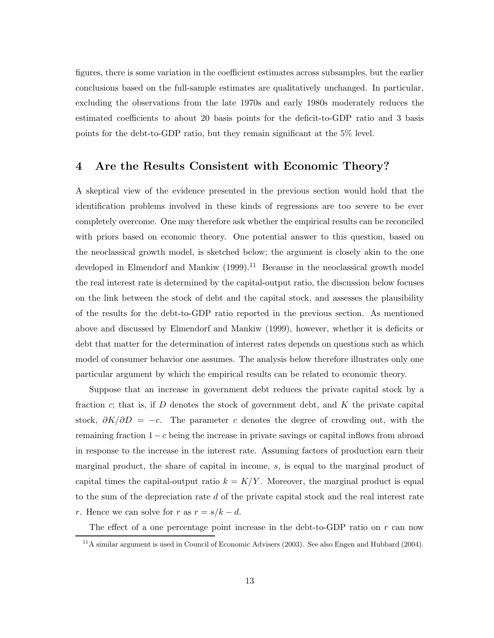figures, there is some variation in the coefficient estimates across subsamples, but the earlier conclusions based on the full-sample estimates are qualitatively unchanged. In particular, excluding the observations from the late 1970s and early 1980s moderately reduces the estimated coefficients to about 20 basis points for the deficit-to-GDP ratio and 3 basis points for the debt-to-GDP ratio, but they remain significant at the 5% level.

# **4 Are the Results Consistent with Economic Theory?**

A skeptical view of the evidence presented in the previous section would hold that the identification problems involved in these kinds of regressions are too severe to be ever completely overcome. One may therefore ask whether the empirical results can be reconciled with priors based on economic theory. One potential answer to this question, based on the neoclassical growth model, is sketched below; the argument is closely akin to the one developed in Elmendorf and Mankiw  $(1999)$ .<sup>11</sup> Because in the neoclassical growth model the real interest rate is determined by the capital-output ratio, the discussion below focuses on the link between the stock of debt and the capital stock, and assesses the plausibility of the results for the debt-to-GDP ratio reported in the previous section. As mentioned above and discussed by Elmendorf and Mankiw (1999), however, whether it is deficits or debt that matter for the determination of interest rates depends on questions such as which model of consumer behavior one assumes. The analysis below therefore illustrates only one particular argument by which the empirical results can be related to economic theory.

Suppose that an increase in government debt reduces the private capital stock by a fraction  $c$ ; that is, if D denotes the stock of government debt, and  $K$  the private capital stock,  $\partial K/\partial D = -c$ . The parameter c denotes the degree of crowding out, with the remaining fraction  $1-c$  being the increase in private savings or capital inflows from abroad in response to the increase in the interest rate. Assuming factors of production earn their marginal product, the share of capital in income, s, is equal to the marginal product of capital times the capital-output ratio  $k = K/Y$ . Moreover, the marginal product is equal to the sum of the depreciation rate d of the private capital stock and the real interest rate r. Hence we can solve for r as  $r = s/k - d$ .

The effect of a one percentage point increase in the debt-to-GDP ratio on  $r$  can now

<sup>&</sup>lt;sup>11</sup>A similar argument is used in Council of Economic Advisers (2003). See also Engen and Hubbard (2004).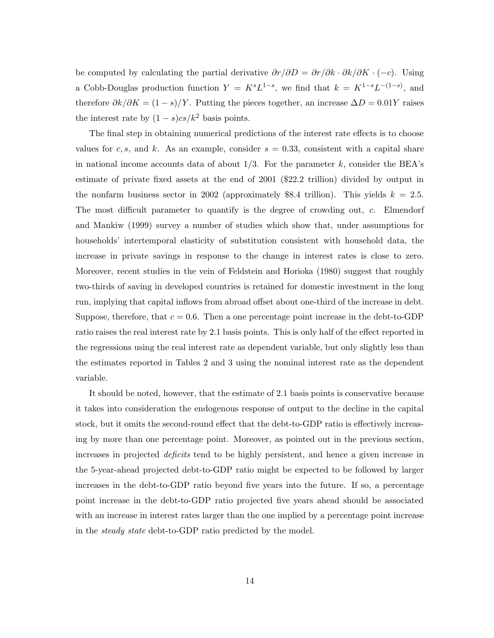be computed by calculating the partial derivative  $\partial r/\partial D = \partial r/\partial k \cdot \partial k/\partial K \cdot (-c)$ . Using a Cobb-Douglas production function  $Y = K^s L^{1-s}$ , we find that  $k = K^{1-s} L^{-(1-s)}$ , and therefore  $\partial k/\partial K = (1 - s)/Y$ . Putting the pieces together, an increase  $\Delta D = 0.01Y$  raises the interest rate by  $(1 - s)cs/k^2$  basis points.

The final step in obtaining numerical predictions of the interest rate effects is to choose values for c, s, and k. As an example, consider  $s = 0.33$ , consistent with a capital share in national income accounts data of about  $1/3$ . For the parameter k, consider the BEA's estimate of private fixed assets at the end of 2001 (\$22.2 trillion) divided by output in the nonfarm business sector in 2002 (approximately \$8.4 trillion). This yields  $k = 2.5$ . The most difficult parameter to quantify is the degree of crowding out, c. Elmendorf and Mankiw (1999) survey a number of studies which show that, under assumptions for households' intertemporal elasticity of substitution consistent with household data, the increase in private savings in response to the change in interest rates is close to zero. Moreover, recent studies in the vein of Feldstein and Horioka (1980) suggest that roughly two-thirds of saving in developed countries is retained for domestic investment in the long run, implying that capital inflows from abroad offset about one-third of the increase in debt. Suppose, therefore, that  $c = 0.6$ . Then a one percentage point increase in the debt-to-GDP ratio raises the real interest rate by 2.1 basis points. This is only half of the effect reported in the regressions using the real interest rate as dependent variable, but only slightly less than the estimates reported in Tables 2 and 3 using the nominal interest rate as the dependent variable.

It should be noted, however, that the estimate of 2.1 basis points is conservative because it takes into consideration the endogenous response of output to the decline in the capital stock, but it omits the second-round effect that the debt-to-GDP ratio is effectively increasing by more than one percentage point. Moreover, as pointed out in the previous section, increases in projected *deficits* tend to be highly persistent, and hence a given increase in the 5-year-ahead projected debt-to-GDP ratio might be expected to be followed by larger increases in the debt-to-GDP ratio beyond five years into the future. If so, a percentage point increase in the debt-to-GDP ratio projected five years ahead should be associated with an increase in interest rates larger than the one implied by a percentage point increase in the *steady state* debt-to-GDP ratio predicted by the model.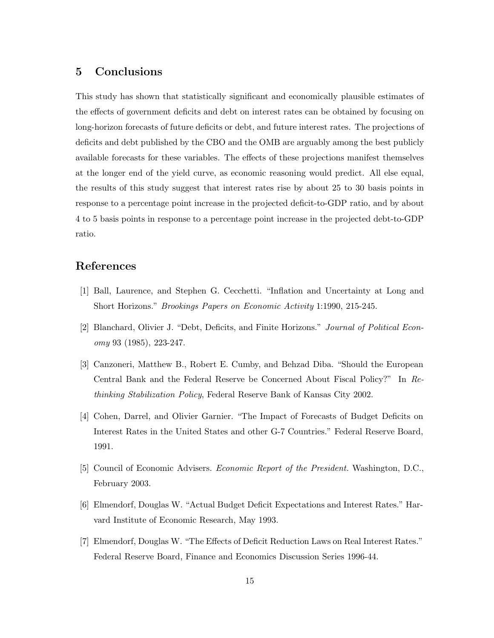## **5 Conclusions**

This study has shown that statistically significant and economically plausible estimates of the effects of government deficits and debt on interest rates can be obtained by focusing on long-horizon forecasts of future deficits or debt, and future interest rates. The projections of deficits and debt published by the CBO and the OMB are arguably among the best publicly available forecasts for these variables. The effects of these projections manifest themselves at the longer end of the yield curve, as economic reasoning would predict. All else equal, the results of this study suggest that interest rates rise by about 25 to 30 basis points in response to a percentage point increase in the projected deficit-to-GDP ratio, and by about 4 to 5 basis points in response to a percentage point increase in the projected debt-to-GDP ratio.

## **References**

- [1] Ball, Laurence, and Stephen G. Cecchetti. "Inflation and Uncertainty at Long and Short Horizons." *Brookings Papers on Economic Activity* 1:1990, 215-245.
- [2] Blanchard, Olivier J. "Debt, Deficits, and Finite Horizons." *Journal of Political Economy* 93 (1985), 223-247.
- [3] Canzoneri, Matthew B., Robert E. Cumby, and Behzad Diba. "Should the European Central Bank and the Federal Reserve be Concerned About Fiscal Policy?" In *Rethinking Stabilization Policy*, Federal Reserve Bank of Kansas City 2002.
- [4] Cohen, Darrel, and Olivier Garnier. "The Impact of Forecasts of Budget Deficits on Interest Rates in the United States and other G-7 Countries." Federal Reserve Board, 1991.
- [5] Council of Economic Advisers. *Economic Report of the President*. Washington, D.C., February 2003.
- [6] Elmendorf, Douglas W. "Actual Budget Deficit Expectations and Interest Rates." Harvard Institute of Economic Research, May 1993.
- [7] Elmendorf, Douglas W. "The Effects of Deficit Reduction Laws on Real Interest Rates." Federal Reserve Board, Finance and Economics Discussion Series 1996-44.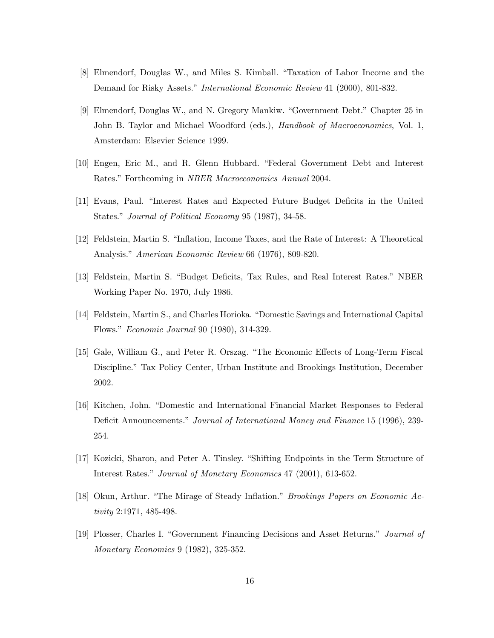- [8] Elmendorf, Douglas W., and Miles S. Kimball. "Taxation of Labor Income and the Demand for Risky Assets." *International Economic Review* 41 (2000), 801-832.
- [9] Elmendorf, Douglas W., and N. Gregory Mankiw. "Government Debt." Chapter 25 in John B. Taylor and Michael Woodford (eds.), *Handbook of Macroeconomics*, Vol. 1, Amsterdam: Elsevier Science 1999.
- [10] Engen, Eric M., and R. Glenn Hubbard. "Federal Government Debt and Interest Rates." Forthcoming in *NBER Macroeconomics Annual* 2004.
- [11] Evans, Paul. "Interest Rates and Expected Future Budget Deficits in the United States." *Journal of Political Economy* 95 (1987), 34-58.
- [12] Feldstein, Martin S. "Inflation, Income Taxes, and the Rate of Interest: A Theoretical Analysis." *American Economic Review* 66 (1976), 809-820.
- [13] Feldstein, Martin S. "Budget Deficits, Tax Rules, and Real Interest Rates." NBER Working Paper No. 1970, July 1986.
- [14] Feldstein, Martin S., and Charles Horioka. "Domestic Savings and International Capital Flows." *Economic Journal* 90 (1980), 314-329.
- [15] Gale, William G., and Peter R. Orszag. "The Economic Effects of Long-Term Fiscal Discipline." Tax Policy Center, Urban Institute and Brookings Institution, December 2002.
- [16] Kitchen, John. "Domestic and International Financial Market Responses to Federal Deficit Announcements." *Journal of International Money and Finance* 15 (1996), 239- 254.
- [17] Kozicki, Sharon, and Peter A. Tinsley. "Shifting Endpoints in the Term Structure of Interest Rates." *Journal of Monetary Economics* 47 (2001), 613-652.
- [18] Okun, Arthur. "The Mirage of Steady Inflation." *Brookings Papers on Economic Activity* 2:1971, 485-498.
- [19] Plosser, Charles I. "Government Financing Decisions and Asset Returns." *Journal of Monetary Economics* 9 (1982), 325-352.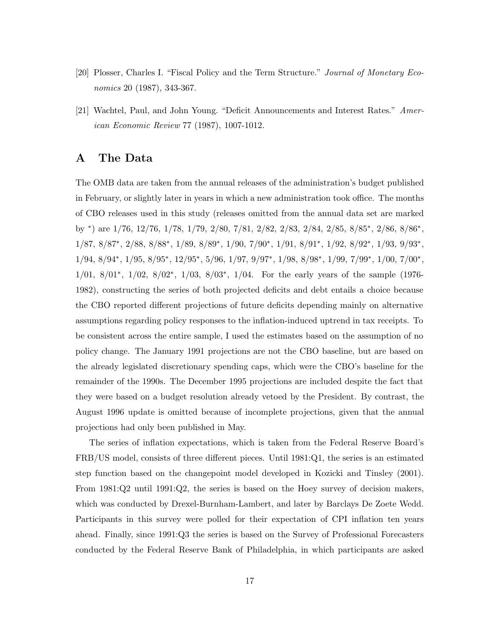- [20] Plosser, Charles I. "Fiscal Policy and the Term Structure." *Journal of Monetary Economics* 20 (1987), 343-367.
- [21] Wachtel, Paul, and John Young. "Deficit Announcements and Interest Rates." *American Economic Review* 77 (1987), 1007-1012.

## **A The Data**

The OMB data are taken from the annual releases of the administration's budget published in February, or slightly later in years in which a new administration took office. The months of CBO releases used in this study (releases omitted from the annual data set are marked by ∗) are 1/76, 12/76, 1/78, 1/79, 2/80, 7/81, 2/82, 2/83, 2/84, 2/85, 8/85∗, 2/86, 8/86∗, 1/87, 8/87∗, 2/88, 8/88∗, 1/89, 8/89∗, 1/90, 7/90∗, 1/91, 8/91∗, 1/92, 8/92∗, 1/93, 9/93∗,  $1/94,\, 8/94^*,\, 1/95,\, 8/95^*,\, 12/95^*,\, 5/96,\, 1/97,\, 9/97^*,\, 1/98,\, 8/98^*,\, 1/99,\, 7/99^*,\, 1/00,\, 7/00^*,$ 1/01, 8/01∗, 1/02, 8/02∗, 1/03, 8/03∗, 1/04. For the early years of the sample (1976- 1982), constructing the series of both projected deficits and debt entails a choice because the CBO reported different projections of future deficits depending mainly on alternative assumptions regarding policy responses to the inflation-induced uptrend in tax receipts. To be consistent across the entire sample, I used the estimates based on the assumption of no policy change. The January 1991 projections are not the CBO baseline, but are based on the already legislated discretionary spending caps, which were the CBO's baseline for the remainder of the 1990s. The December 1995 projections are included despite the fact that they were based on a budget resolution already vetoed by the President. By contrast, the August 1996 update is omitted because of incomplete projections, given that the annual projections had only been published in May.

The series of inflation expectations, which is taken from the Federal Reserve Board's FRB/US model, consists of three different pieces. Until 1981:Q1, the series is an estimated step function based on the changepoint model developed in Kozicki and Tinsley (2001). From 1981:Q2 until 1991:Q2, the series is based on the Hoey survey of decision makers, which was conducted by Drexel-Burnham-Lambert, and later by Barclays De Zoete Wedd. Participants in this survey were polled for their expectation of CPI inflation ten years ahead. Finally, since 1991:Q3 the series is based on the Survey of Professional Forecasters conducted by the Federal Reserve Bank of Philadelphia, in which participants are asked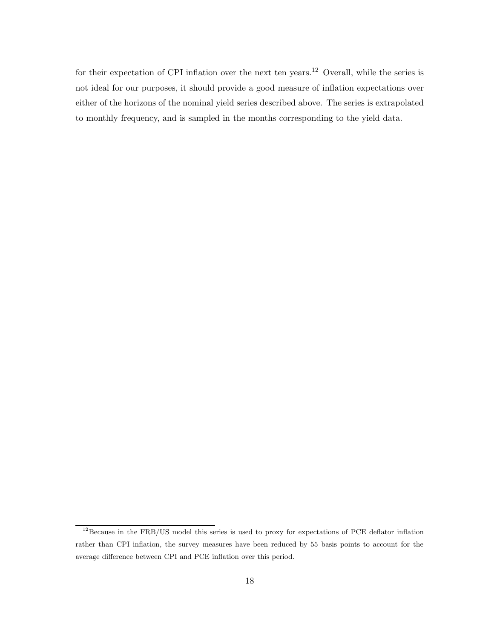for their expectation of CPI inflation over the next ten years.<sup>12</sup> Overall, while the series is not ideal for our purposes, it should provide a good measure of inflation expectations over either of the horizons of the nominal yield series described above. The series is extrapolated to monthly frequency, and is sampled in the months corresponding to the yield data.

<sup>&</sup>lt;sup>12</sup>Because in the FRB/US model this series is used to proxy for expectations of PCE deflator inflation rather than CPI inflation, the survey measures have been reduced by 55 basis points to account for the average difference between CPI and PCE inflation over this period.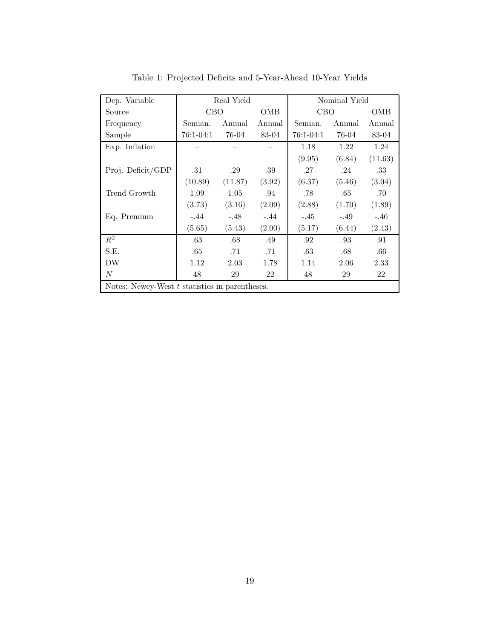| Dep. Variable                                    | Real Yield |         |        | Nominal Yield |        |         |
|--------------------------------------------------|------------|---------|--------|---------------|--------|---------|
| Source                                           | <b>CBO</b> |         | OMB    | CBO           |        | OMB     |
| Frequency                                        | Semian.    | Annual  | Annual | Semian.       | Annual | Annual  |
| Sample                                           | 76:1-04:1  | 76-04   | 83-04  | 76:1-04:1     | 76-04  | 83-04   |
| Exp. Inflation                                   |            |         |        | 1.18          | 1.22   | 1.24    |
|                                                  |            |         |        | (9.95)        | (6.84) | (11.63) |
| Proj. Deficit/GDP                                | .31        | .29     | .39    | .27           | .24    | .33     |
|                                                  | (10.89)    | (11.87) | (3.92) | (6.37)        | (5.46) | (3.04)  |
| Trend Growth                                     | 1.09       | 1.05    | .94    | .78           | .65    | .70     |
|                                                  | (3.73)     | (3.16)  | (2.09) | (2.88)        | (1.70) | (1.89)  |
| Eq. Premium                                      | $-.44$     | $-.48$  | $-.44$ | $-.45$        | $-.49$ | $-.46$  |
|                                                  | (5.65)     | (5.43)  | (2.00) | (5.17)        | (6.44) | (2.43)  |
| $R^2$                                            | .63        | .68     | .49    | .92           | .93    | .91     |
| S.E.                                             | .65        | .71     | .71    | .63           | .68    | .66     |
| DW                                               | 1.12       | 2.03    | 1.78   | 1.14          | 2.06   | 2.33    |
| N                                                | 48         | 29      | 22     | 48            | 29     | 22      |
| Notes: Newey-West $t$ statistics in parentheses. |            |         |        |               |        |         |

Table 1: Projected Deficits and 5-Year-Ahead 10-Year Yields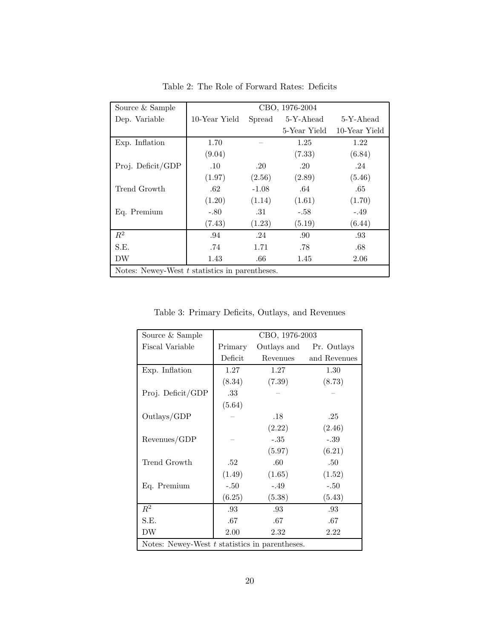| Source & Sample                                | CBO, 1976-2004 |         |                  |               |  |  |  |
|------------------------------------------------|----------------|---------|------------------|---------------|--|--|--|
| Dep. Variable                                  | 10-Year Yield  |         | Spread 5-Y-Ahead | 5-Y-Ahead     |  |  |  |
|                                                |                |         | 5-Year Yield     | 10-Year Yield |  |  |  |
| Exp. Inflation                                 | 1.70           |         | 1.25             | 1.22          |  |  |  |
|                                                | (9.04)         |         | (7.33)           | (6.84)        |  |  |  |
| Proj. Deficit/GDP                              | $.10\,$        | .20     | .20              | .24           |  |  |  |
|                                                | (1.97)         | (2.56)  | (2.89)           | (5.46)        |  |  |  |
| Trend Growth                                   | .62            | $-1.08$ | .64              | .65           |  |  |  |
|                                                | (1.20)         | (1.14)  | (1.61)           | (1.70)        |  |  |  |
| Eq. Premium                                    | $-.80$         | .31     | $-.58$           | -.49          |  |  |  |
|                                                | (7.43)         | (1.23)  | (5.19)           | (6.44)        |  |  |  |
| $R^2$                                          | .94            | .24     | .90              | .93           |  |  |  |
| S.E.                                           | .74            | 1.71    | .78              | .68           |  |  |  |
| DW                                             | 1.43           | .66     | 1.45             | 2.06          |  |  |  |
| Notes: Newey-West t statistics in parentheses. |                |         |                  |               |  |  |  |

Table 2: The Role of Forward Rates: Deficits

Table 3: Primary Deficits, Outlays, and Revenues

| Source & Sample                                | CBO, 1976-2003 |             |              |  |  |  |
|------------------------------------------------|----------------|-------------|--------------|--|--|--|
| Fiscal Variable                                | Primary        | Outlays and | Pr. Outlays  |  |  |  |
|                                                | Deficit        | Revenues    | and Revenues |  |  |  |
| Exp. Inflation                                 | 1.27           | 1.27        | 1.30         |  |  |  |
|                                                | (8.34)         | (7.39)      | (8.73)       |  |  |  |
| Proj. Deficit/GDP                              | .33            |             |              |  |  |  |
|                                                | (5.64)         |             |              |  |  |  |
| Outlays/GDP                                    |                | .18         | .25          |  |  |  |
|                                                |                | (2.22)      | (2.46)       |  |  |  |
| Revenues/GDP                                   |                | $-.35$      | $-.39\,$     |  |  |  |
|                                                |                | (5.97)      | (6.21)       |  |  |  |
| Trend Growth                                   | .52            | .60         | .50          |  |  |  |
|                                                | (1.49)         | (1.65)      | (1.52)       |  |  |  |
| Eq. Premium                                    | $-.50$         | $-.49$      | $-.50$       |  |  |  |
|                                                | (6.25)         | (5.38)      | (5.43)       |  |  |  |
| $\mathbb{R}^2$                                 | .93            | .93         | .93          |  |  |  |
| S.E.                                           | .67            | .67         | .67          |  |  |  |
| DW                                             | 2.00           | 2.32        | 2.22         |  |  |  |
| Notes: Newey-West t statistics in parentheses. |                |             |              |  |  |  |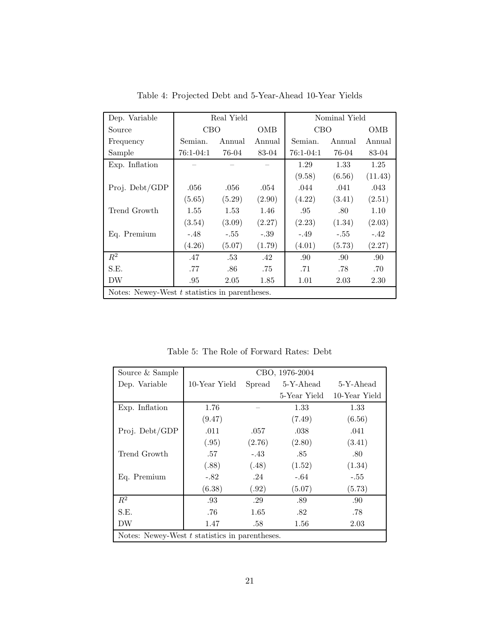| Dep. Variable                                    | Real Yield |        |        | Nominal Yield |        |         |  |
|--------------------------------------------------|------------|--------|--------|---------------|--------|---------|--|
| Source                                           | CBO        |        | OMB    | <b>CBO</b>    |        | OMB     |  |
| Frequency                                        | Semian.    | Annual | Annual | Semian.       | Annual | Annual  |  |
| Sample                                           | 76:1-04:1  | 76-04  | 83-04  | 76:1-04:1     | 76-04  | 83-04   |  |
| Exp. Inflation                                   |            |        |        | 1.29          | 1.33   | 1.25    |  |
|                                                  |            |        |        | (9.58)        | (6.56) | (11.43) |  |
| Proj. Debt/GDP                                   | .056       | .056   | .054   | .044          | .041   | .043    |  |
|                                                  | (5.65)     | (5.29) | (2.90) | (4.22)        | (3.41) | (2.51)  |  |
| Trend Growth                                     | 1.55       | 1.53   | 1.46   | .95           | .80    | 1.10    |  |
|                                                  | (3.54)     | (3.09) | (2.27) | (2.23)        | (1.34) | (2.03)  |  |
| Eq. Premium                                      | $-.48$     | $-.55$ | $-.39$ | $-.49$        | $-.55$ | $-.42$  |  |
|                                                  | (4.26)     | (5.07) | (1.79) | (4.01)        | (5.73) | (2.27)  |  |
| $R^2$                                            | .47        | .53    | .42    | .90           | .90    | .90     |  |
| S.E.                                             | .77        | .86    | .75    | .71           | .78    | .70     |  |
| DW                                               | .95        | 2.05   | 1.85   | 1.01          | 2.03   | 2.30    |  |
| Notes: Newey-West $t$ statistics in parentheses. |            |        |        |               |        |         |  |

Table 4: Projected Debt and 5-Year-Ahead 10-Year Yields

Table 5: The Role of Forward Rates: Debt

| Source & Sample                                  | CBO, 1976-2004 |        |                  |               |  |  |
|--------------------------------------------------|----------------|--------|------------------|---------------|--|--|
| Dep. Variable                                    | 10-Year Yield  |        | Spread 5-Y-Ahead | 5-Y-Ahead     |  |  |
|                                                  |                |        | 5-Year Yield     | 10-Year Yield |  |  |
| Exp. Inflation                                   | 1.76           |        | 1.33             | 1.33          |  |  |
|                                                  | (9.47)         |        | (7.49)           | (6.56)        |  |  |
| Proj. Debt/GDP                                   | .011           | .057   | .038             | .041          |  |  |
|                                                  | (.95)          | (2.76) | (2.80)           | (3.41)        |  |  |
| Trend Growth                                     | .57            | $-.43$ | .85              | .80           |  |  |
|                                                  | (.88)          | (.48)  | (1.52)           | (1.34)        |  |  |
| Eq. Premium                                      | $-.82$         | .24    | $-.64$           | $-.55$        |  |  |
|                                                  | (6.38)         | (.92)  | (5.07)           | (5.73)        |  |  |
| $R^2$                                            | .93            | .29    | .89              | .90           |  |  |
| S.E.                                             | .76            | 1.65   | .82              | .78           |  |  |
| DW                                               | 1.47           | .58    | 1.56             | 2.03          |  |  |
| Notes: Newey-West $t$ statistics in parentheses. |                |        |                  |               |  |  |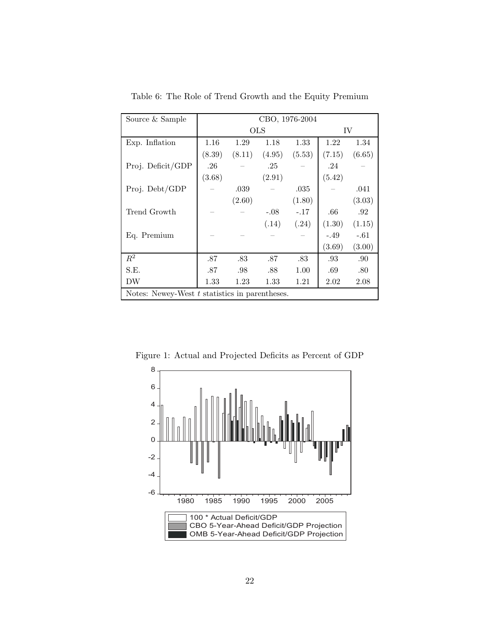| Source & Sample                                  | CBO, 1976-2004 |            |        |        |        |        |
|--------------------------------------------------|----------------|------------|--------|--------|--------|--------|
|                                                  |                | <b>OLS</b> | IV     |        |        |        |
| Exp. Inflation                                   | 1.16           | 1.29       | 1.18   | 1.33   | 1.22   | 1.34   |
|                                                  | (8.39)         | (8.11)     | (4.95) | (5.53) | (7.15) | (6.65) |
| Proj. Deficit/GDP                                | .26            |            | .25    |        | .24    |        |
|                                                  | (3.68)         |            | (2.91) |        | (5.42) |        |
| Proj. Debt/GDP                                   |                | .039       |        | .035   |        | .041   |
|                                                  |                | (2.60)     |        | (1.80) |        | (3.03) |
| Trend Growth                                     |                |            | $-.08$ | $-.17$ | .66    | .92    |
|                                                  |                |            | (.14)  | (.24)  | (1.30) | (1.15) |
| Eq. Premium                                      |                |            |        |        | $-.49$ | $-.61$ |
|                                                  |                |            |        |        | (3.69) | (3.00) |
| $R^2$                                            | .87            | .83        | .87    | .83    | .93    | .90    |
| S.E.                                             | .87            | .98        | .88    | 1.00   | .69    | .80    |
| DW                                               | 1.33           | 1.23       | 1.33   | 1.21   | 2.02   | 2.08   |
| Notes: Newey-West $t$ statistics in parentheses. |                |            |        |        |        |        |

Table 6: The Role of Trend Growth and the Equity Premium

-6 -4 -2 0 2 4 6 8 1980 1985 1990 1995 2000 2005 100 \* Actual Deficit/GDP CBO 5-Year-Ahead Deficit/GDP Projection OMB 5-Year-Ahead Deficit/GDP Projection

Figure 1: Actual and Projected Deficits as Percent of GDP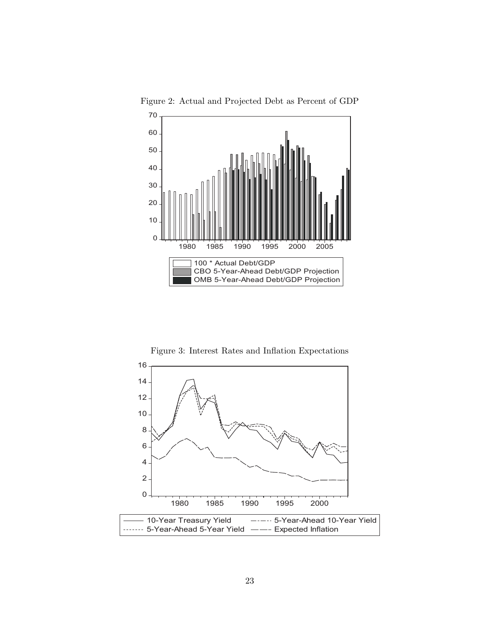

Figure 2: Actual and Projected Debt as Percent of GDP

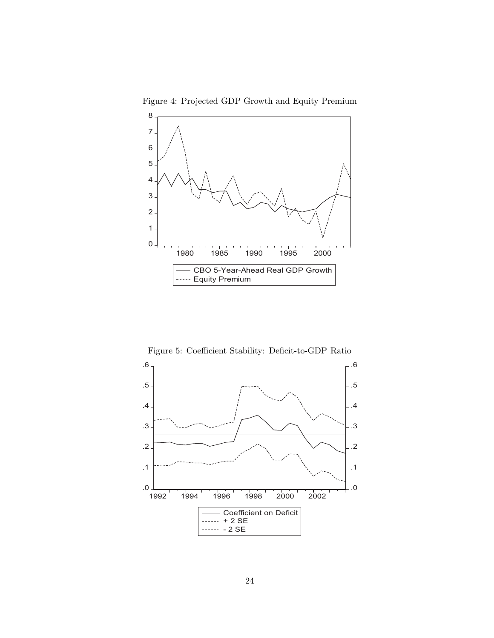

Figure 4: Projected GDP Growth and Equity Premium